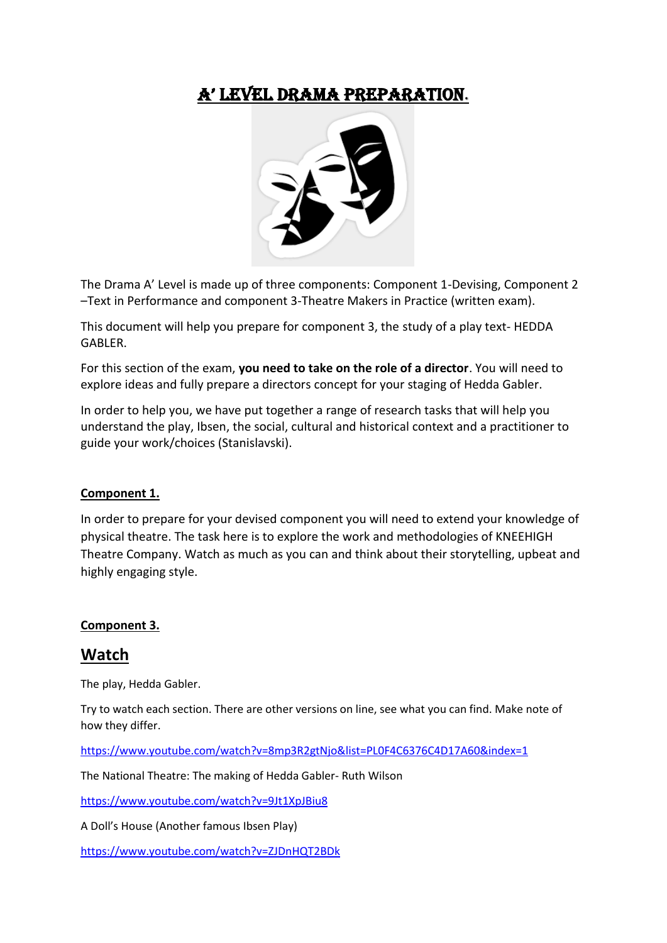# A' LeveL DrAmA PrePArAtion.



The Drama A' Level is made up of three components: Component 1-Devising, Component 2 –Text in Performance and component 3-Theatre Makers in Practice (written exam).

This document will help you prepare for component 3, the study of a play text- HEDDA GABLER.

For this section of the exam, **you need to take on the role of a director**. You will need to explore ideas and fully prepare a directors concept for your staging of Hedda Gabler.

In order to help you, we have put together a range of research tasks that will help you understand the play, Ibsen, the social, cultural and historical context and a practitioner to guide your work/choices (Stanislavski).

#### **Component 1.**

In order to prepare for your devised component you will need to extend your knowledge of physical theatre. The task here is to explore the work and methodologies of KNEEHIGH Theatre Company. Watch as much as you can and think about their storytelling, upbeat and highly engaging style.

#### **Component 3.**

## **Watch**

The play, Hedda Gabler.

Try to watch each section. There are other versions on line, see what you can find. Make note of how they differ.

<https://www.youtube.com/watch?v=8mp3R2gtNjo&list=PL0F4C6376C4D17A60&index=1>

The National Theatre: The making of Hedda Gabler- Ruth Wilson

<https://www.youtube.com/watch?v=9Jt1XpJBiu8>

A Doll's House (Another famous Ibsen Play)

<https://www.youtube.com/watch?v=ZJDnHQT2BDk>